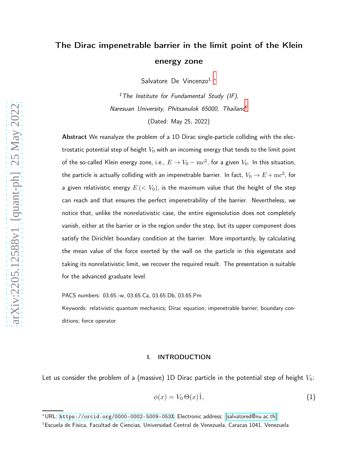## The Dirac impenetrable barrier in the limit point of the Klein energy zone

Salvatore De Vincenzo<sup>1,\*</sup>

<sup>1</sup>The Institute for Fundamental Study (IF), Naresuan University, Phitsanulok 65000, Thailand[†](#page-0-1)

(Dated: May 25, 2022)

Abstract We reanalyze the problem of a 1D Dirac single-particle colliding with the electrostatic potential step of height  $V_0$  with an incoming energy that tends to the limit point of the so-called Klein energy zone, i.e.,  $E\rightarrow V_0-{\mathrm{m}} c^2$ , for a given  $V_0.$  In this situation, the particle is actually colliding with an impenetrable barrier. In fact,  $V_0\rightarrow E+{\rm m}c^2$ , for a given relativistic energy  $E \left( \lt{V_0} \right)$ , is the maximum value that the height of the step can reach and that ensures the perfect impenetrability of the barrier. Nevertheless, we notice that, unlike the nonrelativistic case, the entire eigensolution does not completely vanish, either at the barrier or in the region under the step, but its upper component does satisfy the Dirichlet boundary condition at the barrier. More importantly, by calculating the mean value of the force exerted by the wall on the particle in this eigenstate and taking its nonrelativistic limit, we recover the required result. The presentation is suitable for the advanced graduate level.

PACS numbers: 03.65.-w, 03.65.Ca, 03.65.Db, 03.65.Pm

Keywords: relativistic quantum mechanics; Dirac equation; impenetrable barrier; boundary conditions; force operator

## I. INTRODUCTION

Let us consider the problem of a (massive) 1D Dirac particle in the potential step of height  $V_0$ :

$$
\phi(x) = V_0 \Theta(x) \hat{1},\tag{1}
$$

<span id="page-0-1"></span><span id="page-0-0"></span><sup>∗</sup>URL: <https://orcid.org/0000-0002-5009-053X>; Electronic address: [\[salvatored@nu.ac.th\]](mailto:[salvatored@nu.ac.th])

<sup>†</sup>Escuela de Física, Facultad de Ciencias, Universidad Central de Venezuela, Caracas 1041, Venezuela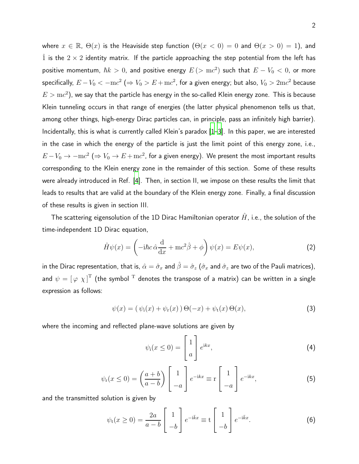where  $x \in \mathbb{R}$ ,  $\Theta(x)$  is the Heaviside step function  $(\Theta(x < 0) = 0$  and  $\Theta(x > 0) = 1)$ , and  $\hat{1}$  is the  $2 \times 2$  identity matrix. If the particle approaching the step potential from the left has positive momentum,  $\hbar k > 0$ , and positive energy  $E \, (> \, mc^2)$  such that  $E - V_0 < 0$ , or more specifically,  $E-V_0 < -{\rm m}c^2 \ (\Rightarrow V_0 > E + {\rm m}c^2$ , for a given energy; but also,  $V_0 > 2{\rm m}c^2$  because  $E > \mathrm{m}c^2$ ), we say that the particle has energy in the so-called Klein energy zone. This is because Klein tunneling occurs in that range of energies (the latter physical phenomenon tells us that, among other things, high-energy Dirac particles can, in principle, pass an infinitely high barrier). Incidentally, this is what is currently called Klein's paradox [\[1](#page-8-0)[–3\]](#page-8-1). In this paper, we are interested in the case in which the energy of the particle is just the limit point of this energy zone, i.e.,  $E-V_0\rightarrow -\mathrm{m}c^2$  ( $\Rightarrow V_0\rightarrow E+\mathrm{m}c^2$ , for a given energy). We present the most important results corresponding to the Klein energy zone in the remainder of this section. Some of these results were already introduced in Ref. [\[4](#page-8-2)]. Then, in section II, we impose on these results the limit that leads to results that are valid at the boundary of the Klein energy zone. Finally, a final discussion of these results is given in section III.

The scattering eigensolution of the 1D Dirac Hamiltonian operator  $\hat{H}$ , i.e., the solution of the time-independent 1D Dirac equation,

$$
\hat{H}\psi(x) = \left(-i\hbar c\,\hat{\alpha}\frac{\mathrm{d}}{\mathrm{d}x} + \mathrm{m}c^2\hat{\beta} + \phi\right)\psi(x) = E\psi(x),\tag{2}
$$

in the Dirac representation, that is,  $\hat\alpha=\hat\sigma_x$  and  $\hat\beta=\hat\sigma_z$  ( $\hat\sigma_x$  and  $\hat\sigma_z$  are two of the Pauli matrices), and  $\psi = \left[\,\varphi\,\,\chi\,\right]^{\mathrm{T}}$  (the symbol  $^{\mathrm{T}}$  denotes the transpose of a matrix) can be written in a single expression as follows:

$$
\psi(x) = (\psi_1(x) + \psi_r(x)) \Theta(-x) + \psi_t(x) \Theta(x), \tag{3}
$$

where the incoming and reflected plane-wave solutions are given by

$$
\psi_{i}(x \leq 0) = \begin{bmatrix} 1 \\ a \end{bmatrix} e^{ikx}, \tag{4}
$$

$$
\psi_{\rm r}(x \le 0) = \left(\frac{a+b}{a-b}\right) \begin{bmatrix} 1 \\ -a \end{bmatrix} e^{-{\rm i}kx} \equiv r \begin{bmatrix} 1 \\ -a \end{bmatrix} e^{-{\rm i}kx},\tag{5}
$$

and the transmitted solution is given by

$$
\psi_t(x \ge 0) = \frac{2a}{a-b} \begin{bmatrix} 1 \\ -b \end{bmatrix} e^{-i\bar{k}x} \equiv t \begin{bmatrix} 1 \\ -b \end{bmatrix} e^{-i\bar{k}x}.
$$
 (6)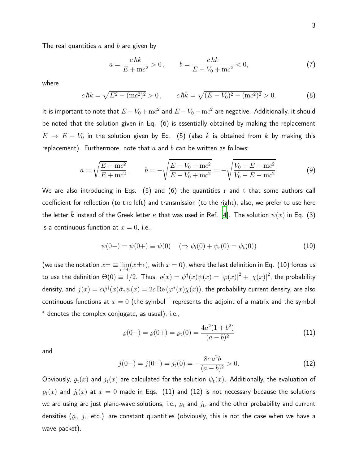The real quantities  $a$  and  $b$  are given by

$$
a = \frac{c\,\hbar k}{E + \text{m}c^2} > 0, \qquad b = \frac{c\,\hbar \bar{k}}{E - V_0 + \text{m}c^2} < 0,\tag{7}
$$

where

$$
c\,\hbar k = \sqrt{E^2 - (mc^2)^2} > 0 \,, \qquad c\,\hbar \bar{k} = \sqrt{(E - V_0)^2 - (mc^2)^2} > 0. \tag{8}
$$

It is important to note that  $E-V_0+{\rm m}c^2$  and  $E-V_0-{\rm m}c^2$  are negative. Additionally, it should be noted that the solution given in Eq. (6) is essentially obtained by making the replacement  $E \to E - V_0$  in the solution given by Eq. (5) (also  $\bar{k}$  is obtained from  $k$  by making this replacement). Furthermore, note that  $a$  and  $b$  can be written as follows:

$$
a = \sqrt{\frac{E - mc^2}{E + mc^2}}, \qquad b = -\sqrt{\frac{E - V_0 - mc^2}{E - V_0 + mc^2}} = -\sqrt{\frac{V_0 - E + mc^2}{V_0 - E - mc^2}}.
$$
(9)

We are also introducing in Eqs. (5) and (6) the quantities r and t that some authors call coefficient for reflection (to the left) and transmission (to the right), also, we prefer to use here the letter k instead of the Greek letter  $\kappa$  that was used in Ref. [\[4\]](#page-8-2). The solution  $\psi(x)$  in Eq. (3) is a continuous function at  $x = 0$ , i.e.,

$$
\psi(0-) = \psi(0+) \equiv \psi(0) \quad (\Rightarrow \psi_i(0) + \psi_r(0) = \psi_t(0)) \tag{10}
$$

(we use the notation  $x\pm \equiv \lim_{\epsilon\to 0}(x\pm\epsilon)$ , with  $x=0)$ , where the last definition in Eq. (10) forces us to use the definition  $\Theta(0)\equiv 1/2.$  Thus,  $\varrho(x)=\psi^\dagger(x)\psi(x)=|\varphi(x)|^2+|\chi(x)|^2,$  the probability density, and  $j(x)=c\psi^\dagger(x)\hat{\sigma}_x\psi(x)=2c\operatorname{Re}\left(\varphi^*(x)\chi(x)\right)$ , the probability current density, are also continuous functions at  $x=0$  (the symbol  $^\dagger$  represents the adjoint of a matrix and the symbol <sup>∗</sup> denotes the complex conjugate, as usual), i.e.,

$$
\varrho(0-) = \varrho(0+) = \varrho_t(0) = \frac{4a^2(1+b^2)}{(a-b)^2}
$$
\n(11)

and

$$
j(0-) = j(0+) = jt(0) = -\frac{8ca^2b}{(a-b)^2} > 0.
$$
 (12)

Obviously,  $\varrho_t(x)$  and  $j_t(x)$  are calculated for the solution  $\psi_t(x)$ . Additionally, the evaluation of  $\varrho_{\rm t}(x)$  and  $j_{\rm t}(x)$  at  $x=0$  made in Eqs. (11) and (12) is not necessary because the solutions we are using are just plane-wave solutions, i.e.,  $\varrho_{\rm t}$  and  $j_{\rm t}$ , and the other probability and current densities  $(\varrho_{\rm i},\ j_{\rm i},$  etc.) are constant quantities (obviously, this is not the case when we have a wave packet).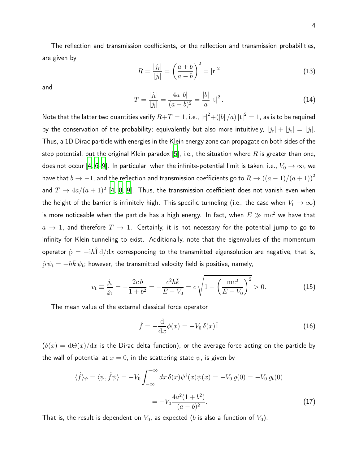The reflection and transmission coefficients, or the reflection and transmission probabilities, are given by

$$
R = \frac{|j_{\rm r}|}{|j_{\rm i}|} = \left(\frac{a+b}{a-b}\right)^2 = |{\rm r}|^2 \tag{13}
$$

and

$$
T = \frac{|j_{\rm t}|}{|j_{\rm i}|} = \frac{4a\,|b|}{(a-b)^2} = \frac{|b|}{a}\,|{\rm t}|^2\,. \tag{14}
$$

Note that the latter two quantities verify  $R\!+\!T=1$ , i.e.,  $\left\vert \mathrm{r}\right\vert ^{2}+\left( \left\vert b\right\vert /a\right) \left\vert \mathrm{t}\right\vert ^{2}=1$ , as is to be required by the conservation of the probability; equivalently but also more intuitively,  $|j_{\rm r}|+|j_{\rm t}|=|j_{\rm i}|.$ Thus, a 1D Dirac particle with energies in the Klein energy zone can propagate on both sides of the step potential, but the original Klein paradox [\[5\]](#page-8-3), i.e., the situation where R is greater than one, does not occur [\[4,](#page-8-2) [6](#page-8-4)[–9\]](#page-8-5). In particular, when the infinite-potential limit is taken, i.e.,  $V_0 \to \infty$ , we have that  $b \to -1$ , and the reflection and transmission coefficients go to  $R \to ((a-1)/(a+1))^2$ and  $T \to 4a/(a+1)^2$  [\[4](#page-8-2), [8,](#page-8-6) [9](#page-8-5)]. Thus, the transmission coefficient does not vanish even when the height of the barrier is infinitely high. This specific tunneling (i.e., the case when  $V_0 \rightarrow \infty$ ) is more noticeable when the particle has a high energy. In fact, when  $E\gg \mathrm{m}c^2$  we have that  $a \to 1$ , and therefore  $T \to 1$ . Certainly, it is not necessary for the potential jump to go to infinity for Klein tunneling to exist. Additionally, note that the eigenvalues of the momentum operator  $\hat{p} = -i\hbar \hat{I} d/dx$  corresponding to the transmitted eigensolution are negative, that is,  $\hat{\mathrm{p}}\,\psi_\mathrm{t}=-\hbar\bar{k}\,\psi_\mathrm{t}$ ; however, the transmitted velocity field is positive, namely,

$$
v_{\rm t} \equiv \frac{j_{\rm t}}{\varrho_{\rm t}} = -\frac{2c b}{1+b^2} = -\frac{c^2 \hbar \bar{k}}{E-V_0} = c \sqrt{1 - \left(\frac{\text{m}c^2}{E-V_0}\right)^2} > 0. \tag{15}
$$

The mean value of the external classical force operator

$$
\hat{f} = -\frac{\mathrm{d}}{\mathrm{d}x}\phi(x) = -V_0 \,\delta(x)\hat{1} \tag{16}
$$

 $(\delta(x) = d\Theta(x)/dx$  is the Dirac delta function), or the average force acting on the particle by the wall of potential at  $x = 0$ , in the scattering state  $\psi$ , is given by

$$
\langle \hat{f} \rangle_{\psi} = \langle \psi, \hat{f} \psi \rangle = -V_0 \int_{-\infty}^{+\infty} dx \, \delta(x) \psi^{\dagger}(x) \psi(x) = -V_0 \, \varrho(0) = -V_0 \, \varrho_t(0)
$$
\n
$$
= -V_0 \frac{4a^2(1+b^2)}{(a-b)^2}.
$$
\n(17)

That is, the result is dependent on  $V_0$ , as expected (b is also a function of  $V_0$ ).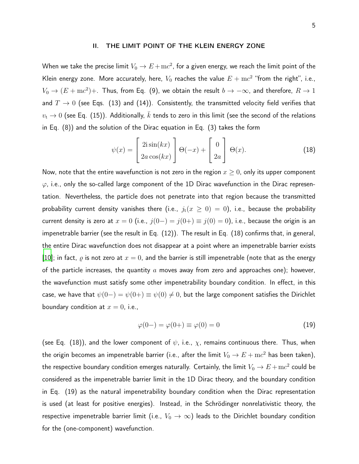## II. THE LIMIT POINT OF THE KLEIN ENERGY ZONE

When we take the precise limit  $V_0\rightarrow E+{\rm m}c^2$ , for a given energy, we reach the limit point of the Klein energy zone. More accurately, here,  $V_0$  reaches the value  $E+{\mathrm{m}} c^2$  "from the right", i.e.,  $V_0\to (E+{\rm m}c^2)+$ . Thus, from Eq. (9), we obtain the result  $b\to -\infty$ , and therefore,  $R\to 1$ and  $T \to 0$  (see Eqs. (13) and (14)). Consistently, the transmitted velocity field verifies that  $v_t \to 0$  (see Eq. (15)). Additionally,  $\bar{k}$  tends to zero in this limit (see the second of the relations in Eq. (8)) and the solution of the Dirac equation in Eq. (3) takes the form

$$
\psi(x) = \begin{bmatrix} 2i\sin(kx) \\ 2a\cos(kx) \end{bmatrix} \Theta(-x) + \begin{bmatrix} 0 \\ 2a \end{bmatrix} \Theta(x). \tag{18}
$$

Now, note that the entire wavefunction is not zero in the region  $x \geq 0$ , only its upper component  $\varphi$ , i.e., only the so-called large component of the 1D Dirac wavefunction in the Dirac representation. Nevertheless, the particle does not penetrate into that region because the transmitted probability current density vanishes there (i.e.,  $j_t(x \ge 0) = 0$ ), i.e., because the probability current density is zero at  $x = 0$  (i.e.,  $j(0-) = j(0+) \equiv j(0) = 0$ ), i.e., because the origin is an impenetrable barrier (see the result in Eq. (12)). The result in Eq. (18) confirms that, in general, the entire Dirac wavefunction does not disappear at a point where an impenetrable barrier exists [\[10](#page-8-7)]; in fact,  $\rho$  is not zero at  $x = 0$ , and the barrier is still impenetrable (note that as the energy of the particle increases, the quantity  $a$  moves away from zero and approaches one); however, the wavefunction must satisfy some other impenetrability boundary condition. In effect, in this case, we have that  $\psi(0-) = \psi(0+) \equiv \psi(0) \neq 0$ , but the large component satisfies the Dirichlet boundary condition at  $x = 0$ , i.e.,

$$
\varphi(0-) = \varphi(0+) \equiv \varphi(0) = 0 \tag{19}
$$

(see Eq. (18)), and the lower component of  $\psi$ , i.e.,  $\chi$ , remains continuous there. Thus, when the origin becomes an impenetrable barrier (i.e., after the limit  $V_0\rightarrow E+{\rm m}c^2$  has been taken), the respective boundary condition emerges naturally. Certainly, the limit  $V_0\rightarrow E+{\rm m}c^2$  could be considered as the impenetrable barrier limit in the 1D Dirac theory, and the boundary condition in Eq. (19) as the natural impenetrability boundary condition when the Dirac representation is used (at least for positive energies). Instead, in the Schrödinger nonrelativistic theory, the respective impenetrable barrier limit (i.e.,  $V_0 \rightarrow \infty$ ) leads to the Dirichlet boundary condition for the (one-component) wavefunction.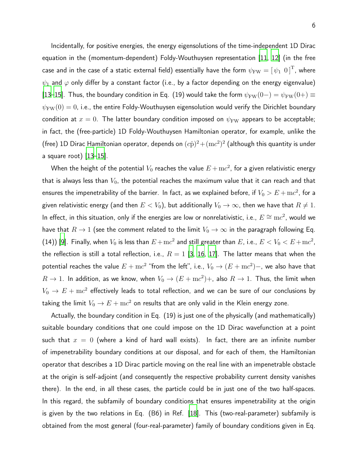Incidentally, for positive energies, the energy eigensolutions of the time-independent 1D Dirac equation in the (momentum-dependent) Foldy-Wouthuysen representation [\[11,](#page-9-0) [12](#page-9-1)] (in the free case and in the case of a static external field) essentially have the form  $\psi_{\rm FW}=\left[\,\psi_1\,\,\overline{0}\,\right]^{\rm T}$ , where  $\psi_1$  and  $\varphi$  only differ by a constant factor (i.e., by a factor depending on the energy eigenvalue) [\[13](#page-9-2)[–15\]](#page-9-3). Thus, the boundary condition in Eq. (19) would take the form  $\psi_{FW}(0-) = \psi_{FW}(0+) \equiv$  $\psi_{\rm FW}(0) = 0$ , i.e., the entire Foldy-Wouthuysen eigensolution would verify the Dirichlet boundary condition at  $x = 0$ . The latter boundary condition imposed on  $\psi_{FW}$  appears to be acceptable; in fact, the (free-particle) 1D Foldy-Wouthuysen Hamiltonian operator, for example, unlike the (free) 1D Dirac Hamiltonian operator, depends on  $(c\hat{\rm p})^2+({\rm m}c^2)^2$  (although this quantity is under a square root) [\[13](#page-9-2)[–15\]](#page-9-3).

When the height of the potential  $V_0$  reaches the value  $E+{\mathrm{m}} c^2$ , for a given relativistic energy that is always less than  $V_0$ , the potential reaches the maximum value that it can reach and that ensures the impenetrability of the barrier. In fact, as we explained before, if  $V_0 > E + \mathrm{m}c^2$ , for a given relativistic energy (and then  $E < V_0$ ), but additionally  $V_0 \rightarrow \infty$ , then we have that  $R \neq 1$ . In effect, in this situation, only if the energies are low or nonrelativistic, i.e.,  $E \cong \mathrm{m}c^2$ , would we have that  $R \to 1$  (see the comment related to the limit  $V_0 \to \infty$  in the paragraph following Eq. (14)) [\[9\]](#page-8-5). Finally, when  $V_0$  is less than  $E+{\rm m}c^2$  and still greater than  $E$ , i.e.,  $E < V_0 < E+{\rm m}c^2$ , the reflection is still a total reflection, i.e.,  $R = 1$  [\[3,](#page-8-1) [16,](#page-9-4) [17\]](#page-9-5). The latter means that when the potential reaches the value  $E+{\rm m}c^2$  "from the left", i.e.,  $V_0\rightarrow (E+{\rm m}c^2)-$ , we also have that  $R \to 1$ . In addition, as we know, when  $V_0 \to (E + mc^2) +$ , also  $R \to 1$ . Thus, the limit when  $V_0\,\rightarrow\, E + \mathrm{m}c^2$  effectively leads to total reflection, and we can be sure of our conclusions by taking the limit  $V_0\rightarrow E + \text{m}c^2$  on results that are only valid in the Klein energy zone.

Actually, the boundary condition in Eq. (19) is just one of the physically (and mathematically) suitable boundary conditions that one could impose on the 1D Dirac wavefunction at a point such that  $x = 0$  (where a kind of hard wall exists). In fact, there are an infinite number of impenetrability boundary conditions at our disposal, and for each of them, the Hamiltonian operator that describes a 1D Dirac particle moving on the real line with an impenetrable obstacle at the origin is self-adjoint (and consequently the respective probability current density vanishes there). In the end, in all these cases, the particle could be in just one of the two half-spaces. In this regard, the subfamily of boundary conditions that ensures impenetrability at the origin is given by the two relations in Eq. (B6) in Ref. [\[18\]](#page-9-6). This (two-real-parameter) subfamily is obtained from the most general (four-real-parameter) family of boundary conditions given in Eq.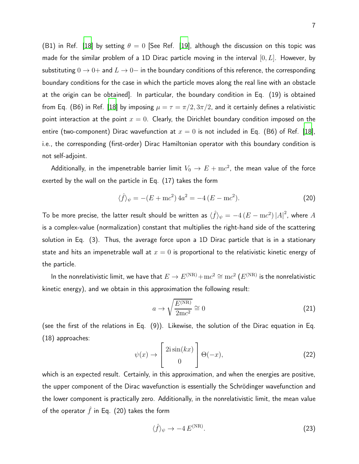(B1) in Ref. [\[18\]](#page-9-6) by setting  $\theta = 0$  [See Ref. [\[19\]](#page-9-7), although the discussion on this topic was made for the similar problem of a 1D Dirac particle moving in the interval  $[0, L]$ . However, by substituting  $0 \to 0+$  and  $L \to 0-$  in the boundary conditions of this reference, the corresponding boundary conditions for the case in which the particle moves along the real line with an obstacle at the origin can be obtained]. In particular, the boundary condition in Eq. (19) is obtained from Eq. (B6) in Ref. [\[18\]](#page-9-6) by imposing  $\mu = \tau = \pi/2, 3\pi/2$ , and it certainly defines a relativistic point interaction at the point  $x = 0$ . Clearly, the Dirichlet boundary condition imposed on the entire (two-component) Dirac wavefunction at  $x = 0$  is not included in Eq. (B6) of Ref. [\[18\]](#page-9-6), i.e., the corresponding (first-order) Dirac Hamiltonian operator with this boundary condition is not self-adjoint.

Additionally, in the impenetrable barrier limit  $V_0\,\rightarrow\, E + \mathrm{m}c^2$ , the mean value of the force exerted by the wall on the particle in Eq. (17) takes the form

$$
\langle \hat{f} \rangle_{\psi} = -(E + \text{m}c^2) 4a^2 = -4 (E - \text{m}c^2). \tag{20}
$$

To be more precise, the latter result should be written as  $\langle \hat{f} \rangle_\psi = -4 \, (E - {\rm m}c^2) \, |A|^2$ , where  $A$ is a complex-value (normalization) constant that multiplies the right-hand side of the scattering solution in Eq. (3). Thus, the average force upon a 1D Dirac particle that is in a stationary state and hits an impenetrable wall at  $x = 0$  is proportional to the relativistic kinetic energy of the particle.

In the nonrelativistic limit, we have that  $E\to E^{(\rm NR)}\!+\!{\rm m}c^2\cong{\rm m}c^2$   $(E^{(\rm NR)}$  is the nonrelativistic kinetic energy), and we obtain in this approximation the following result:

$$
a \to \sqrt{\frac{E^{(\text{NR})}}{2mc^2}} \cong 0 \tag{21}
$$

(see the first of the relations in Eq. (9)). Likewise, the solution of the Dirac equation in Eq. (18) approaches:

$$
\psi(x) \to \begin{bmatrix} 2i\sin(kx) \\ 0 \end{bmatrix} \Theta(-x),\tag{22}
$$

which is an expected result. Certainly, in this approximation, and when the energies are positive, the upper component of the Dirac wavefunction is essentially the Schrödinger wavefunction and the lower component is practically zero. Additionally, in the nonrelativistic limit, the mean value of the operator  $\hat{f}$  in Eq. (20) takes the form

$$
\langle \hat{f} \rangle_{\psi} \to -4 \, E^{(\text{NR})}.\tag{23}
$$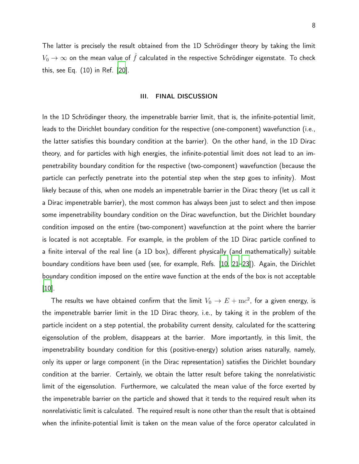The latter is precisely the result obtained from the 1D Schrödinger theory by taking the limit  $V_0\rightarrow\infty$  on the mean value of  $\hat{f}$  calculated in the respective Schrödinger eigenstate. To check this, see Eq. (10) in Ref. [\[20](#page-9-8)].

## III. FINAL DISCUSSION

In the 1D Schrödinger theory, the impenetrable barrier limit, that is, the infinite-potential limit, leads to the Dirichlet boundary condition for the respective (one-component) wavefunction (i.e., the latter satisfies this boundary condition at the barrier). On the other hand, in the 1D Dirac theory, and for particles with high energies, the infinite-potential limit does not lead to an impenetrability boundary condition for the respective (two-component) wavefunction (because the particle can perfectly penetrate into the potential step when the step goes to infinity). Most likely because of this, when one models an impenetrable barrier in the Dirac theory (let us call it a Dirac impenetrable barrier), the most common has always been just to select and then impose some impenetrability boundary condition on the Dirac wavefunction, but the Dirichlet boundary condition imposed on the entire (two-component) wavefunction at the point where the barrier is located is not acceptable. For example, in the problem of the 1D Dirac particle confined to a finite interval of the real line (a 1D box), different physically (and mathematically) suitable boundary conditions have been used (see, for example, Refs. [\[10,](#page-8-7) [21](#page-9-9)[–23](#page-9-10)]). Again, the Dirichlet boundary condition imposed on the entire wave function at the ends of the box is not acceptable [\[10](#page-8-7)].

The results we have obtained confirm that the limit  $V_0\rightarrow E+{\rm m}c^2$ , for a given energy, is the impenetrable barrier limit in the 1D Dirac theory, i.e., by taking it in the problem of the particle incident on a step potential, the probability current density, calculated for the scattering eigensolution of the problem, disappears at the barrier. More importantly, in this limit, the impenetrability boundary condition for this (positive-energy) solution arises naturally, namely, only its upper or large component (in the Dirac representation) satisfies the Dirichlet boundary condition at the barrier. Certainly, we obtain the latter result before taking the nonrelativistic limit of the eigensolution. Furthermore, we calculated the mean value of the force exerted by the impenetrable barrier on the particle and showed that it tends to the required result when its nonrelativistic limit is calculated. The required result is none other than the result that is obtained when the infinite-potential limit is taken on the mean value of the force operator calculated in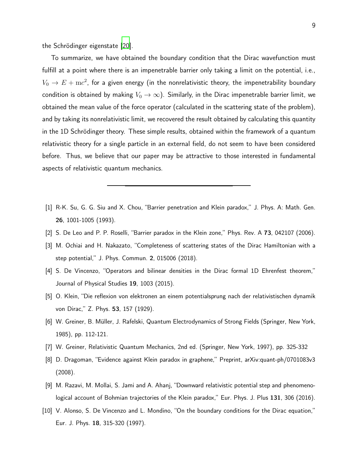the Schrödinger eigenstate [\[20\]](#page-9-8).

To summarize, we have obtained the boundary condition that the Dirac wavefunction must fulfill at a point where there is an impenetrable barrier only taking a limit on the potential, i.e.,  $V_0\rightarrow E+{\rm m}c^2$ , for a given energy (in the nonrelativistic theory, the impenetrability boundary condition is obtained by making  $V_0 \to \infty$ ). Similarly, in the Dirac impenetrable barrier limit, we obtained the mean value of the force operator (calculated in the scattering state of the problem), and by taking its nonrelativistic limit, we recovered the result obtained by calculating this quantity in the 1D Schrödinger theory. These simple results, obtained within the framework of a quantum relativistic theory for a single particle in an external field, do not seem to have been considered before. Thus, we believe that our paper may be attractive to those interested in fundamental aspects of relativistic quantum mechanics.

- <span id="page-8-0"></span>[1] R-K. Su, G. G. Siu and X. Chou, "Barrier penetration and Klein paradox," J. Phys. A: Math. Gen. 26, 1001-1005 (1993).
- <span id="page-8-1"></span>[2] S. De Leo and P. P. Roselli, "Barrier paradox in the Klein zone," Phys. Rev. A 73, 042107 (2006).
- [3] M. Ochiai and H. Nakazato, "Completeness of scattering states of the Dirac Hamiltonian with a step potential," J. Phys. Commun. 2, 015006 (2018).
- <span id="page-8-2"></span>[4] S. De Vincenzo, "Operators and bilinear densities in the Dirac formal 1D Ehrenfest theorem," Journal of Physical Studies 19, 1003 (2015).
- <span id="page-8-3"></span>[5] O. Klein, "Die reflexion von elektronen an einem potentialsprung nach der relativistischen dynamik von Dirac," Z. Phys. 53, 157 (1929).
- <span id="page-8-4"></span>[6] W. Greiner, B. Müller, J. Rafelski, Quantum Electrodynamics of Strong Fields (Springer, New York, 1985), pp. 112-121.
- [7] W. Greiner, Relativistic Quantum Mechanics, 2nd ed. (Springer, New York, 1997), pp. 325-332
- <span id="page-8-6"></span>[8] D. Dragoman, "Evidence against Klein paradox in graphene," Preprint, arXiv:quant-ph/0701083v3 (2008).
- <span id="page-8-5"></span>[9] M. Razavi, M. Mollai, S. Jami and A. Ahanj, "Downward relativistic potential step and phenomenological account of Bohmian trajectories of the Klein paradox," Eur. Phys. J. Plus 131, 306 (2016).
- <span id="page-8-7"></span>[10] V. Alonso, S. De Vincenzo and L. Mondino, "On the boundary conditions for the Dirac equation," Eur. J. Phys. 18, 315-320 (1997).